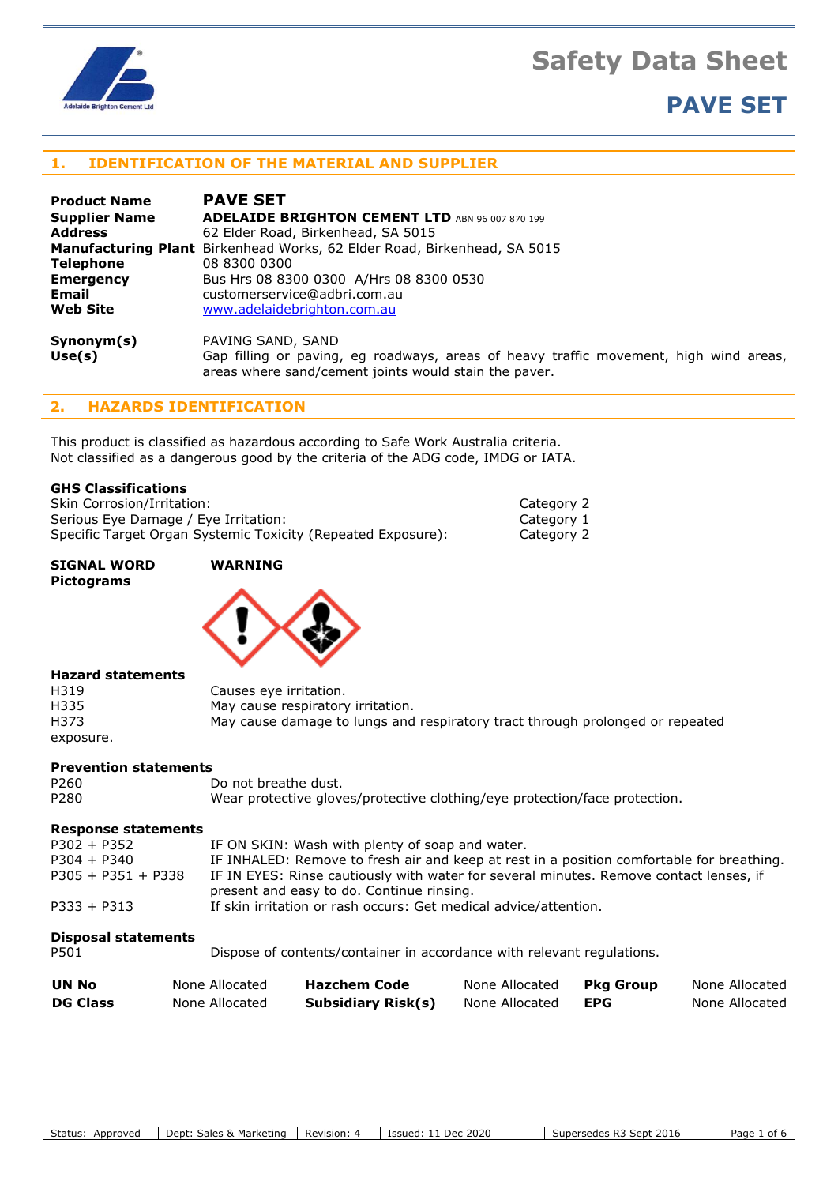



# **PAVE SET**

# **1. IDENTIFICATION OF THE MATERIAL AND SUPPLIER**

| <b>Product Name</b>  | <b>PAVE SET</b>                                                                                                                                |  |  |
|----------------------|------------------------------------------------------------------------------------------------------------------------------------------------|--|--|
| <b>Supplier Name</b> | <b>ADELAIDE BRIGHTON CEMENT LTD</b> ABN 96 007 870 199                                                                                         |  |  |
| <b>Address</b>       | 62 Elder Road, Birkenhead, SA 5015                                                                                                             |  |  |
|                      | <b>Manufacturing Plant</b> Birkenhead Works, 62 Elder Road, Birkenhead, SA 5015                                                                |  |  |
| <b>Telephone</b>     | 08 8300 0300                                                                                                                                   |  |  |
| <b>Emergency</b>     | Bus Hrs 08 8300 0300 A/Hrs 08 8300 0530                                                                                                        |  |  |
| Email                | customerservice@adbri.com.au                                                                                                                   |  |  |
| <b>Web Site</b>      | www.adelaidebrighton.com.au                                                                                                                    |  |  |
| Synonym(s)           | PAVING SAND, SAND                                                                                                                              |  |  |
| Use(s)               | Gap filling or paving, eg roadways, areas of heavy traffic movement, high wind areas,<br>areas where sand/cement joints would stain the paver. |  |  |

# **2. HAZARDS IDENTIFICATION**

This product is classified as hazardous according to Safe Work Australia criteria. Not classified as a dangerous good by the criteria of the ADG code, IMDG or IATA.

# **GHS Classifications**

Skin Corrosion/Irritation: Category 2 Category 2 Serious Eye Damage / Eye Irritation: Category 1 Specific Target Organ Systemic Toxicity (Repeated Exposure): Category 2

**SIGNAL WORD WARNING Pictograms**



## **Hazard statements**

| H319      | Causes eye irritation.                                                        |
|-----------|-------------------------------------------------------------------------------|
| H335      | May cause respiratory irritation.                                             |
| H373      | May cause damage to lungs and respiratory tract through prolonged or repeated |
| exposure. |                                                                               |

# **Prevention statements**

| P260 | Do not breathe dust.                                                       |
|------|----------------------------------------------------------------------------|
| P280 | Wear protective gloves/protective clothing/eye protection/face protection. |

#### **Response statements**

| $P302 + P352$        | IF ON SKIN: Wash with plenty of soap and water.                                           |
|----------------------|-------------------------------------------------------------------------------------------|
| $P304 + P340$        | IF INHALED: Remove to fresh air and keep at rest in a position comfortable for breathing. |
| $P305 + P351 + P338$ | IF IN EYES: Rinse cautiously with water for several minutes. Remove contact lenses, if    |
|                      | present and easy to do. Continue rinsing.                                                 |
| $P333 + P313$        | If skin irritation or rash occurs: Get medical advice/attention.                          |

# **Disposal statements**

P501 Dispose of contents/container in accordance with relevant regulations.

| UN No           | None Allocated | <b>Hazchem Code</b>       | None Allocated | Pkg Group | None Allocated |
|-----------------|----------------|---------------------------|----------------|-----------|----------------|
| <b>DG Class</b> | None Allocated | <b>Subsidiary Risk(s)</b> | None Allocated | EPG       | None Allocated |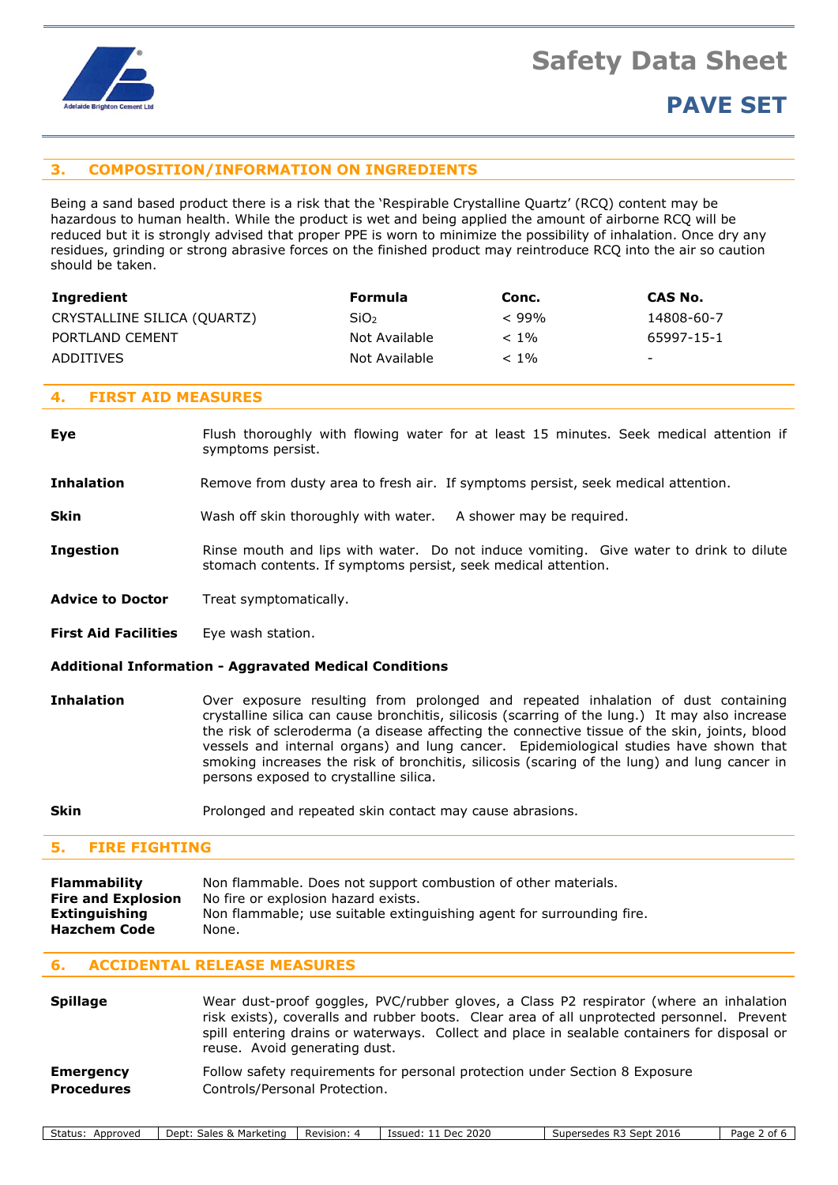

# **3. COMPOSITION/INFORMATION ON INGREDIENTS**

Being a sand based product there is a risk that the 'Respirable Crystalline Quartz' (RCQ) content may be hazardous to human health. While the product is wet and being applied the amount of airborne RCQ will be reduced but it is strongly advised that proper PPE is worn to minimize the possibility of inhalation. Once dry any residues, grinding or strong abrasive forces on the finished product may reintroduce RCQ into the air so caution should be taken.

| Ingredient                  | Formula          | Conc.   | CAS No.                  |
|-----------------------------|------------------|---------|--------------------------|
| CRYSTALLINE SILICA (QUARTZ) | SiO <sub>2</sub> | $<$ 99% | 14808-60-7               |
| PORTLAND CEMENT             | Not Available    | $< 1\%$ | 65997-15-1               |
| <b>ADDITIVES</b>            | Not Available    | $< 1\%$ | $\overline{\phantom{a}}$ |

# **4. FIRST AID MEASURES**

**Eye** Flush thoroughly with flowing water for at least 15 minutes. Seek medical attention if symptoms persist.

**Inhalation** Remove from dusty area to fresh air. If symptoms persist, seek medical attention.

**Skin** Wash off skin thoroughly with water. A shower may be required.

- **Ingestion** Rinse mouth and lips with water. Do not induce vomiting. Give water to drink to dilute stomach contents. If symptoms persist, seek medical attention.
- Advice to Doctor Treat symptomatically.

**First Aid Facilities** Eye wash station.

#### **Additional Information - Aggravated Medical Conditions**

- **Inhalation** Over exposure resulting from prolonged and repeated inhalation of dust containing crystalline silica can cause bronchitis, silicosis (scarring of the lung.) It may also increase the risk of scleroderma (a disease affecting the connective tissue of the skin, joints, blood vessels and internal organs) and lung cancer. Epidemiological studies have shown that smoking increases the risk of bronchitis, silicosis (scaring of the lung) and lung cancer in persons exposed to crystalline silica.
- **Skin** Prolonged and repeated skin contact may cause abrasions.

## **5. FIRE FIGHTING**

| Flammability                  | Non flammable. Does not support combustion of other materials.                 |  |  |
|-------------------------------|--------------------------------------------------------------------------------|--|--|
| <b>Fire and Explosion</b>     | No fire or explosion hazard exists.                                            |  |  |
| Extinguishing<br>Hazchem Code | Non flammable; use suitable extinguishing agent for surrounding fire.<br>None. |  |  |

## **6. ACCIDENTAL RELEASE MEASURES**

| <b>Spillage</b>   | Wear dust-proof goggles, PVC/rubber gloves, a Class P2 respirator (where an inhalation<br>risk exists), coveralls and rubber boots. Clear area of all unprotected personnel. Prevent<br>spill entering drains or waterways. Collect and place in sealable containers for disposal or<br>reuse. Avoid generating dust. |
|-------------------|-----------------------------------------------------------------------------------------------------------------------------------------------------------------------------------------------------------------------------------------------------------------------------------------------------------------------|
| <b>Emergency</b>  | Follow safety requirements for personal protection under Section 8 Exposure                                                                                                                                                                                                                                           |
| <b>Procedures</b> | Controls/Personal Protection.                                                                                                                                                                                                                                                                                         |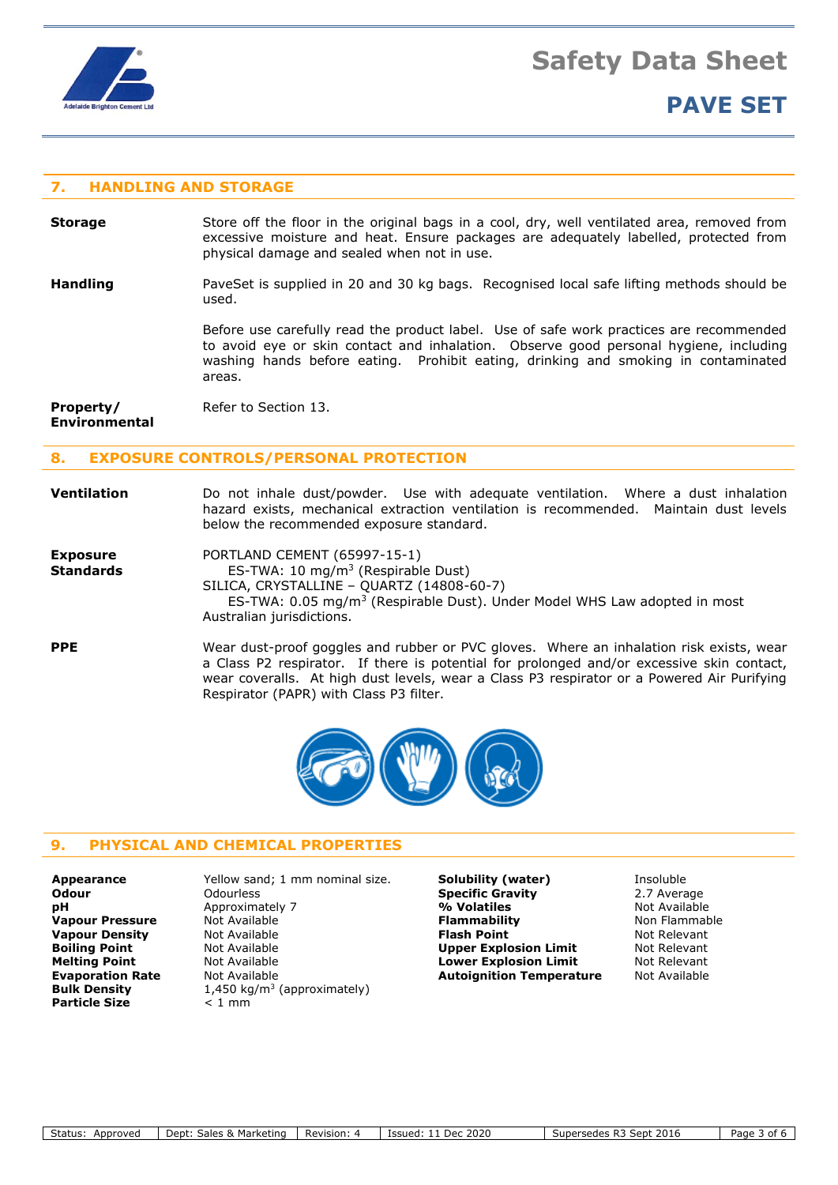

# **PAVE SET**

# **7. HANDLING AND STORAGE**

- **Storage** Store off the floor in the original bags in a cool, dry, well ventilated area, removed from excessive moisture and heat. Ensure packages are adequately labelled, protected from physical damage and sealed when not in use.
- **Handling** PaveSet is supplied in 20 and 30 kg bags. Recognised local safe lifting methods should be used.

Before use carefully read the product label. Use of safe work practices are recommended to avoid eye or skin contact and inhalation. Observe good personal hygiene, including washing hands before eating. Prohibit eating, drinking and smoking in contaminated areas.

**Property/** Refer to Section 13. **Environmental**

# **8. EXPOSURE CONTROLS/PERSONAL PROTECTION**

# **Ventilation** Do not inhale dust/powder. Use with adequate ventilation. Where a dust inhalation hazard exists, mechanical extraction ventilation is recommended. Maintain dust levels below the recommended exposure standard.

| <b>Exposure</b>  | PORTLAND CEMENT (65997-15-1)                                                          |
|------------------|---------------------------------------------------------------------------------------|
| <b>Standards</b> | ES-TWA: 10 mg/m <sup>3</sup> (Respirable Dust)                                        |
|                  | SILICA, CRYSTALLINE - QUARTZ (14808-60-7)                                             |
|                  | ES-TWA: 0.05 mg/m <sup>3</sup> (Respirable Dust). Under Model WHS Law adopted in most |
|                  | Australian jurisdictions.                                                             |
|                  |                                                                                       |

# **PPE** Wear dust-proof goggles and rubber or PVC gloves. Where an inhalation risk exists, wear a Class P2 respirator. If there is potential for prolonged and/or excessive skin contact, wear coveralls. At high dust levels, wear a Class P3 respirator or a Powered Air Purifying Respirator (PAPR) with Class P3 filter.



# **9. PHYSICAL AND CHEMICAL PROPERTIES**

| <b>Appearance</b>       |
|-------------------------|
| Odour                   |
| рH                      |
| <b>Vapour Pressure</b>  |
| <b>Vapour Density</b>   |
| <b>Boiling Point</b>    |
| <b>Melting Point</b>    |
| <b>Evaporation Rate</b> |
| <b>Bulk Density</b>     |
| <b>Particle Size</b>    |
|                         |

**Odourless Construction Specific Gravity** 2.7 Average **pH** Approximately 7 **% Volatiles** Not Available **Value 19 Islammability** Not Available **Flammability** Non Flammable **Value 19 Not Available 10 Not Relevant Riash Point Not Relevant Book Available <b>Point Upper Explosion Limit** Not Relevant **Mot Available <b>Lower Explosion Limit** Mot Relevant<br> **Autoignition Temperature** Not Available **Bulk Density** 1,450 kg/m<sup>3</sup> (approximately) **Particle Size** < 1 mm

**Appearance** Yellow sand; 1 mm nominal size. **Solubility (water)** Insoluble **Autoignition Temperature**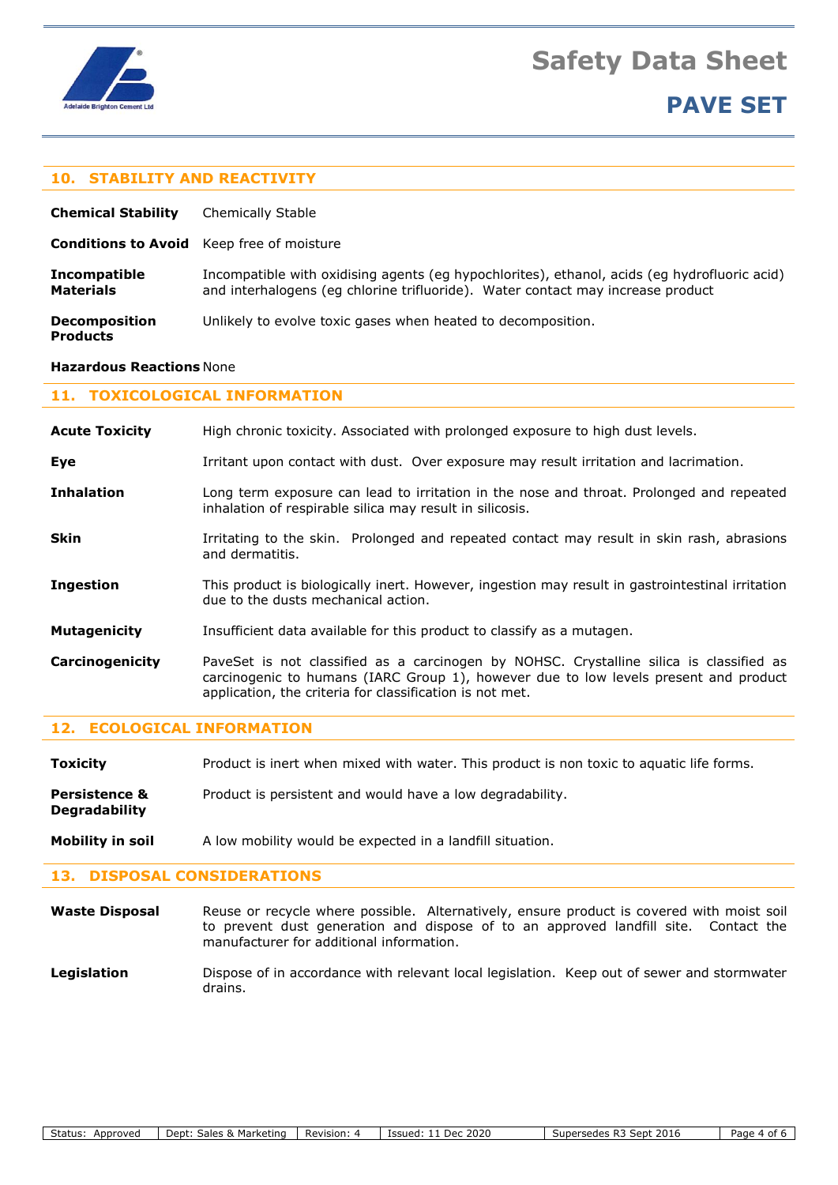

# **PAVE SET**

# **10. STABILITY AND REACTIVITY**

| <b>Chemical Stability</b>                        | Chemically Stable                                                                                                                                                               |  |
|--------------------------------------------------|---------------------------------------------------------------------------------------------------------------------------------------------------------------------------------|--|
| <b>Conditions to Avoid</b> Keep free of moisture |                                                                                                                                                                                 |  |
| <b>Incompatible</b><br><b>Materials</b>          | Incompatible with oxidising agents (eg hypochlorites), ethanol, acids (eg hydrofluoric acid)<br>and interhalogens (eq chlorine trifluoride). Water contact may increase product |  |
| <b>Decomposition</b><br><b>Products</b>          | Unlikely to evolve toxic gases when heated to decomposition.                                                                                                                    |  |

#### **Hazardous Reactions** None

# **11. TOXICOLOGICAL INFORMATION**

| <b>Acute Toxicity</b> | High chronic toxicity. Associated with prolonged exposure to high dust levels.                                                                                                                                                              |
|-----------------------|---------------------------------------------------------------------------------------------------------------------------------------------------------------------------------------------------------------------------------------------|
| Eye                   | Irritant upon contact with dust. Over exposure may result irritation and lacrimation.                                                                                                                                                       |
| <b>Inhalation</b>     | Long term exposure can lead to irritation in the nose and throat. Prolonged and repeated<br>inhalation of respirable silica may result in silicosis.                                                                                        |
| <b>Skin</b>           | Irritating to the skin. Prolonged and repeated contact may result in skin rash, abrasions<br>and dermatitis.                                                                                                                                |
| <b>Ingestion</b>      | This product is biologically inert. However, ingestion may result in gastrointestinal irritation<br>due to the dusts mechanical action.                                                                                                     |
| <b>Mutagenicity</b>   | Insufficient data available for this product to classify as a mutagen.                                                                                                                                                                      |
| Carcinogenicity       | PaveSet is not classified as a carcinogen by NOHSC. Crystalline silica is classified as<br>carcinogenic to humans (IARC Group 1), however due to low levels present and product<br>application, the criteria for classification is not met. |

## **12. ECOLOGICAL INFORMATION**

**Toxicity** Product is inert when mixed with water. This product is non toxic to aquatic life forms.

**Persistence &** Product is persistent and would have a low degradability. **Degradability**

**Mobility in soil** A low mobility would be expected in a landfill situation.

## **13. DISPOSAL CONSIDERATIONS**

**Waste Disposal** Reuse or recycle where possible. Alternatively, ensure product is covered with moist soil to prevent dust generation and dispose of to an approved landfill site. Contact the manufacturer for additional information.

Legislation **Dispose of in accordance with relevant local legislation. Keep out of sewer and stormwater** drains.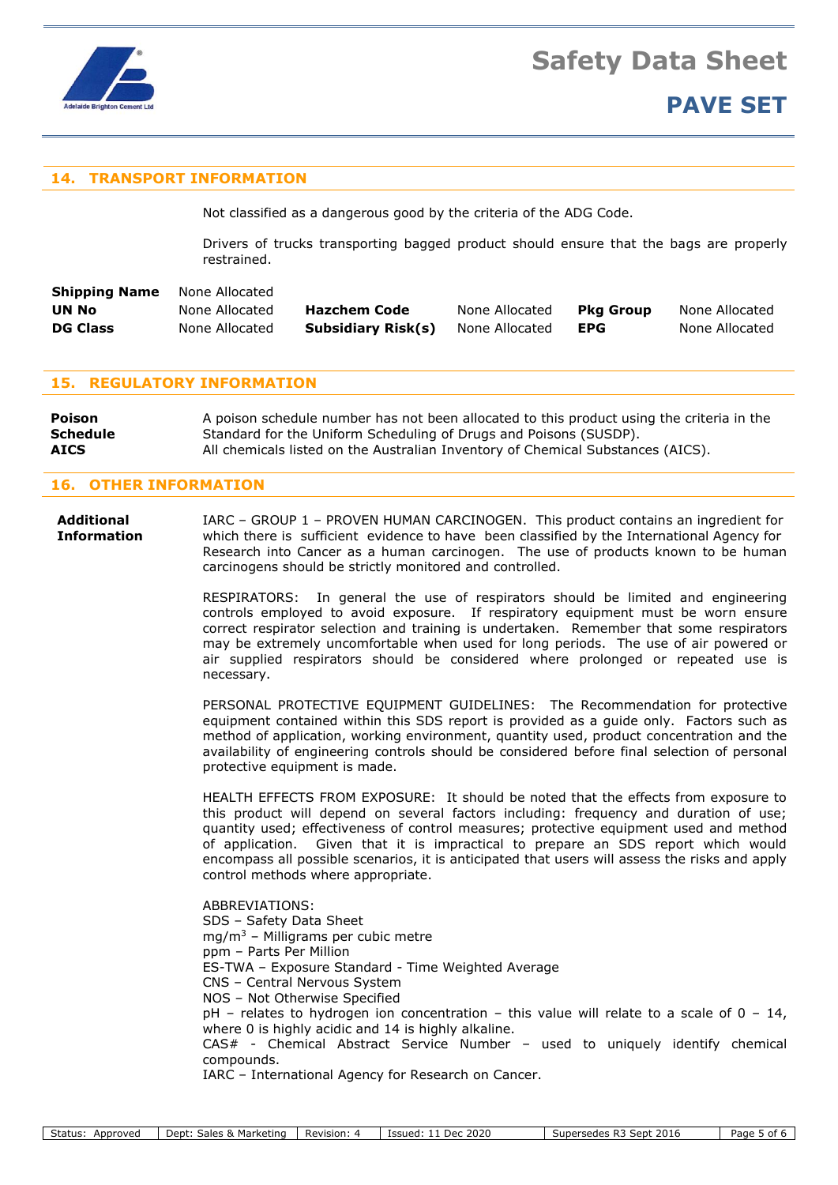

# **14. TRANSPORT INFORMATION**

Not classified as a dangerous good by the criteria of the ADG Code.

Drivers of trucks transporting bagged product should ensure that the bags are properly restrained.

| <b>Shipping Name</b> | None Allocated |                           |                |            |                |
|----------------------|----------------|---------------------------|----------------|------------|----------------|
| UN No                | None Allocated | Hazchem Code              | None Allocated | Pka Group  | None Allocated |
| <b>DG Class</b>      | None Allocated | <b>Subsidiary Risk(s)</b> | None Allocated | <b>EPG</b> | None Allocated |

# **15. REGULATORY INFORMATION**

**Poison** A poison schedule number has not been allocated to this product using the criteria in the **Schedule** Standard for the Uniform Scheduling of Drugs and Poisons (SUSDP). **AICS** All chemicals listed on the Australian Inventory of Chemical Substances (AICS).

# **16. OTHER INFORMATION**

**Additional** IARC – GROUP 1 – PROVEN HUMAN CARCINOGEN. This product contains an ingredient for **Information** which there is sufficient evidence to have been classified by the International Agency for Research into Cancer as a human carcinogen. The use of products known to be human carcinogens should be strictly monitored and controlled.

> RESPIRATORS: In general the use of respirators should be limited and engineering controls employed to avoid exposure. If respiratory equipment must be worn ensure correct respirator selection and training is undertaken. Remember that some respirators may be extremely uncomfortable when used for long periods. The use of air powered or air supplied respirators should be considered where prolonged or repeated use is necessary.

> PERSONAL PROTECTIVE EQUIPMENT GUIDELINES: The Recommendation for protective equipment contained within this SDS report is provided as a guide only. Factors such as method of application, working environment, quantity used, product concentration and the availability of engineering controls should be considered before final selection of personal protective equipment is made.

> HEALTH EFFECTS FROM EXPOSURE: It should be noted that the effects from exposure to this product will depend on several factors including: frequency and duration of use; quantity used; effectiveness of control measures; protective equipment used and method of application. Given that it is impractical to prepare an SDS report which would encompass all possible scenarios, it is anticipated that users will assess the risks and apply control methods where appropriate.

> ABBREVIATIONS: SDS – Safety Data Sheet mg/m<sup>3</sup> – Milligrams per cubic metre ppm – Parts Per Million ES-TWA – Exposure Standard - Time Weighted Average CNS – Central Nervous System NOS – Not Otherwise Specified  $pH$  – relates to hydrogen ion concentration – this value will relate to a scale of 0 – 14, where 0 is highly acidic and 14 is highly alkaline. CAS# - Chemical Abstract Service Number – used to uniquely identify chemical compounds. IARC – International Agency for Research on Cancer.

Status: Approved Dept: Sales & Marketing Revision: 4 Issued: 11 Dec 2020 Supersedes R3 Sept 2016 Page 5 of 6